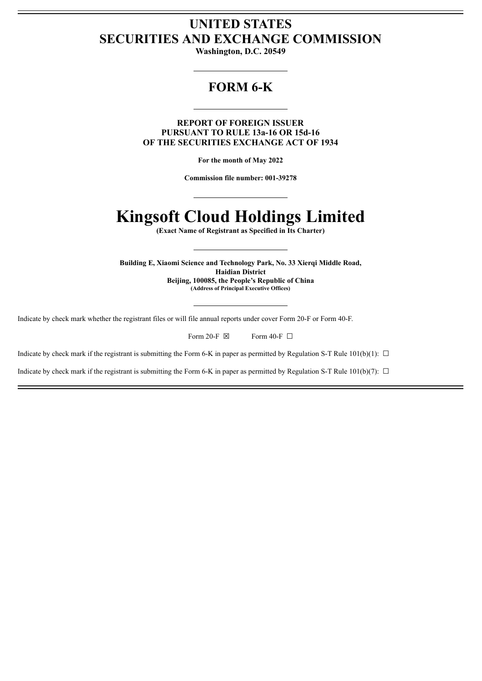# **UNITED STATES SECURITIES AND EXCHANGE COMMISSION**

**Washington, D.C. 20549**

# **FORM 6-K**

**REPORT OF FOREIGN ISSUER PURSUANT TO RULE 13a-16 OR 15d-16 OF THE SECURITIES EXCHANGE ACT OF 1934**

**For the month of May 2022**

**Commission file number: 001-39278**

# **Kingsoft Cloud Holdings Limited**

**(Exact Name of Registrant as Specified in Its Charter)**

**Building E, Xiaomi Science and Technology Park, No. 33 Xierqi Middle Road, Haidian District Beijing, 100085, the People's Republic of China (Address of Principal Executive Offices)**

Indicate by check mark whether the registrant files or will file annual reports under cover Form 20-F or Form 40-F.

| Form 20-F $\boxtimes$ | Form 40-F $\Box$ |
|-----------------------|------------------|
|-----------------------|------------------|

Indicate by check mark if the registrant is submitting the Form 6-K in paper as permitted by Regulation S-T Rule 101(b)(1):  $\Box$ 

Indicate by check mark if the registrant is submitting the Form 6-K in paper as permitted by Regulation S-T Rule  $101(b)(7)$ :  $\Box$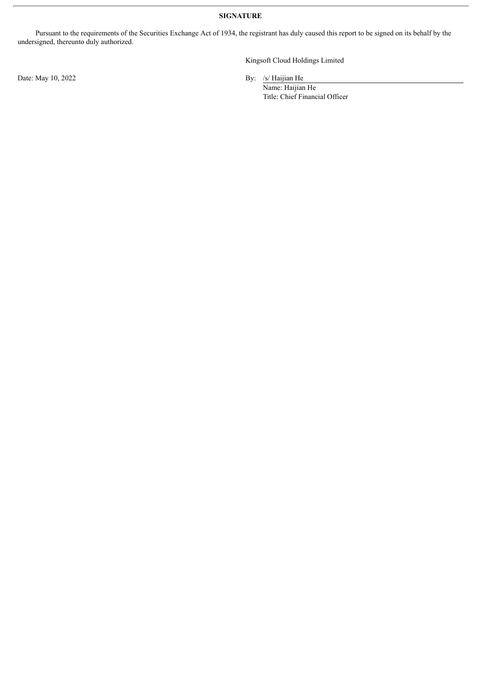**SIGNATURE**

Pursuant to the requirements of the Securities Exchange Act of 1934, the registrant has duly caused this report to be signed on its behalf by the undersigned, thereunto duly authorized.

Date: May 10, 2022 By: /s/ Haijian He

Kingsoft Cloud Holdings Limited

Name: Haijian He Title: Chief Financial Officer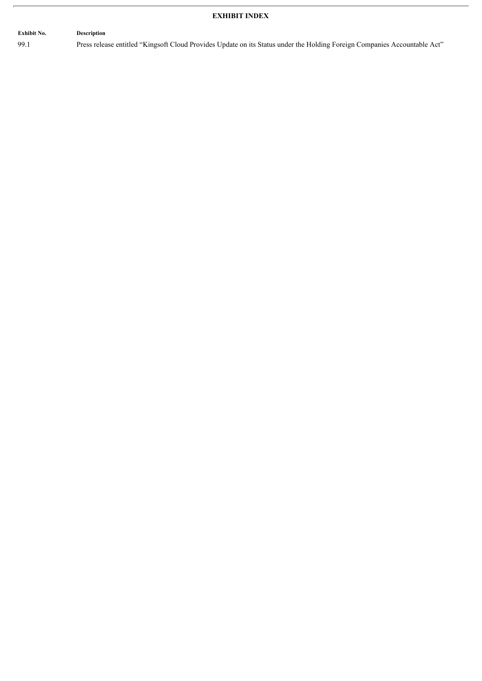## **EXHIBIT INDEX**

## **Exhibit No. Description**

99.1 Press release entitled "Kingsoft Cloud Provides Update on its Status under the Holding Foreign Companies Accountable Act"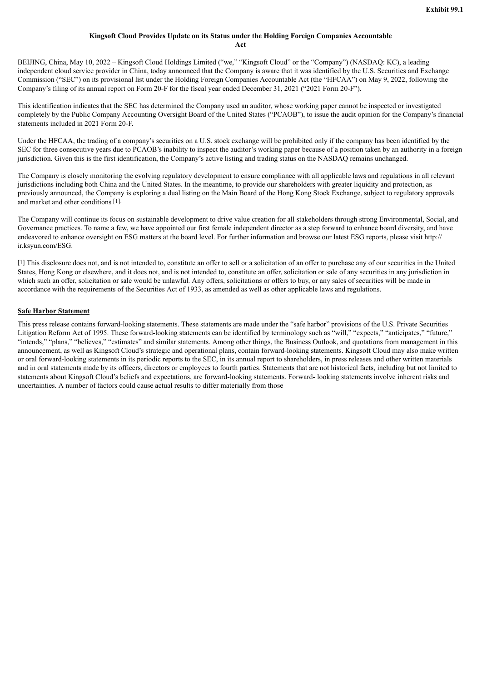## **Kingsoft Cloud Provides Update on its Status under the Holding Foreign Companies Accountable**

**Act**

BEIJING, China, May 10, 2022 – Kingsoft Cloud Holdings Limited ("we," "Kingsoft Cloud" or the "Company") (NASDAQ: KC), a leading independent cloud service provider in China, today announced that the Company is aware that it was identified by the U.S. Securities and Exchange Commission ("SEC") on its provisional list under the Holding Foreign Companies Accountable Act (the "HFCAA") on May 9, 2022, following the Company's filing of its annual report on Form 20-F for the fiscal year ended December 31, 2021 ("2021 Form 20-F").

This identification indicates that the SEC has determined the Company used an auditor, whose working paper cannot be inspected or investigated completely by the Public Company Accounting Oversight Board of the United States ("PCAOB"), to issue the audit opinion for the Company's financial statements included in 2021 Form 20-F.

Under the HFCAA, the trading of a company's securities on a U.S. stock exchange will be prohibited only if the company has been identified by the SEC for three consecutive years due to PCAOB's inability to inspect the auditor's working paper because of a position taken by an authority in a foreign jurisdiction. Given this is the first identification, the Company's active listing and trading status on the NASDAQ remains unchanged.

The Company is closely monitoring the evolving regulatory development to ensure compliance with all applicable laws and regulations in all relevant jurisdictions including both China and the United States. In the meantime, to provide our shareholders with greater liquidity and protection, as previously announced, the Company is exploring a dual listing on the Main Board of the Hong Kong Stock Exchange, subject to regulatory approvals and market and other conditions [1].

The Company will continue its focus on sustainable development to drive value creation for all stakeholders through strong Environmental, Social, and Governance practices. To name a few, we have appointed our first female independent director as a step forward to enhance board diversity, and have endeavored to enhance oversight on ESG matters at the board level. For further information and browse our latest ESG reports, please visit http:// ir.ksyun.com/ESG.

[1] This disclosure does not, and is not intended to, constitute an offer to sell or a solicitation of an offer to purchase any of our securities in the United States, Hong Kong or elsewhere, and it does not, and is not intended to, constitute an offer, solicitation or sale of any securities in any jurisdiction in which such an offer, solicitation or sale would be unlawful. Any offers, solicitations or offers to buy, or any sales of securities will be made in accordance with the requirements of the Securities Act of 1933, as amended as well as other applicable laws and regulations.

### **Safe Harbor Statement**

This press release contains forward-looking statements. These statements are made under the "safe harbor" provisions of the U.S. Private Securities Litigation Reform Act of 1995. These forward-looking statements can be identified by terminology such as "will," "expects," "anticipates," "future," "intends," "plans," "believes," "estimates" and similar statements. Among other things, the Business Outlook, and quotations from management in this announcement, as well as Kingsoft Cloud's strategic and operational plans, contain forward-looking statements. Kingsoft Cloud may also make written or oral forward-looking statements in its periodic reports to the SEC, in its annual report to shareholders, in press releases and other written materials and in oral statements made by its officers, directors or employees to fourth parties. Statements that are not historical facts, including but not limited to statements about Kingsoft Cloud's beliefs and expectations, are forward-looking statements. Forward- looking statements involve inherent risks and uncertainties. A number of factors could cause actual results to differ materially from those